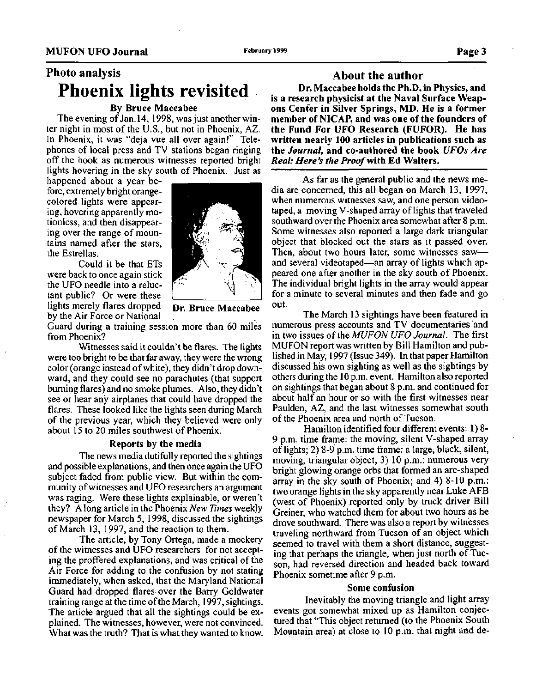# **Photo analysis Phoenix lights revisited**

## **By Bruce Maccabee**

The evening of Jan. 14, 1998, was just another winter night in most of the U.S., but not in Phoenix, AZ. In Phoenix, it was "deja vue all over again!" Telephones of local press and TV stations began ringing off the hook as numerous witnesses reported bright lights hovering in the sky south of Phoenix. Just as

happened about a year before, extremely bright orangecolored lights were appearing, hovering apparently motionless, and then disappearing over the range of mountains named after the stars, the Estrellas.

Could it be that ETs were back to once again stick the UFO needle into a reluctant public? Or were these lights merely flares dropped by the Air Force or National



**Dr. Bruce Maccabee**

Guard during a training session more than 60 miles from Phoenix?

Witnesses said it couldn't be flares. The lights were too bright to be that far away, they were the wrong color (orange instead of white), they didn't drop downward, and they could see no parachutes (that support burning flares) and no smoke plumes. Also, they didn't see or hear any airplanes that could have dropped the flares. These looked like the lights seen during March of the previous year, which they believed were only about 15 to 20 miles southwest of Phoenix.

#### **Reports by the media**

The news media dutifully reported the sightings and possible explanations, and then once again the UFO subject faded from public view. But within the community of witnesses and UFO researchers an argument was raging. Were these lights explainable, or weren't they? A long article in the Phoenix *New Times* weekly newspaper for March 5, 1998, discussed the sightings of March 13, 1997, and the reaction to them.

The article, by Tony Ortega, made a mockery of the witnesses and UFO researchers for not accepting the proffered explanations, and was critical of the Air Force for adding to the confusion by not stating immediately, when asked, that the Maryland National Guard had dropped flares over the Barry Goldwater training range at the time of the March, 1997, sightings. The article argued that all the sightings could be explained. The witnesses, however, were not convinced. What was the truth? That is what they wanted to know.

## **About the author**

**Dr. Maccabee holds the Ph.D. in Physics, and is a research physicist at the Naval Surface Weapons Center in Silver Springs, MD. He is a former member of NICAP, and was one of the founders of the Fund For UFO Research (FUFOR). He has written nearly 100 articles in publications such as the** *Journal,* **and co-authored the book** *UFOs Are Real: Here's the Proof with* **Ed Walters.**

As far as the general public and the news media are concerned, this all began on March 13, 1997, when numerous witnesses saw, and one person videotaped, a moving V-shaped array of lights that traveled southward over the Phoenix area somewhat after 8 p.m. Some witnesses also reported a large dark triangular object that blocked out the stars as it passed over. Then, about two hours later, some witnesses saw and several videotaped—an array of lights which appeared one after another in the sky south of Phoenix. The individual bright lights in the array would appear for a minute to several minutes and then fade and go out.

The March 13 sightings have been featured in numerous press accounts and TV documentaries and in two issues of the *MUFON UFO Journal.* The first MUFON report was written by Bill Hamilton and published in May, 1997 (Issue 349). In that paper Hamilton discussed his own sighting as well as the sightings by others during the 10 p.m. event. Hamilton also reported on sightings that began about 8 p.m. and continued for about half an hour or so with the first witnesses near Paulden, AZ, and the last witnesses somewhat south of the Phoenix area and north of Tucson.

Hamilton identified four different events: 1)8- 9 p.m. time frame: the moving, silent V-shaped array of lights; 2) 8-9 p.m. time frame: a large, black, silent, moving, triangular object; 3) 10 p.m.: numerous very bright glowing orange orbs that formed an arc-shaped array in the sky south of Phoenix; and 4) 8-10 p.m.: two orange lights in the sky apparently near Luke AFB (west of Phoenix) reported only by truck driver Bill Greiner, who watched them for about two hours as he drove southward. There was also a report by witnesses traveling northward from Tucson of an object which seemed to travel with them a short distance, suggesting that perhaps the triangle, when just north of Tucson, had reversed direction and headed back toward Phoenix sometime after 9 p.m.

#### **Some confusion**

Inevitably the moving triangle and light array events got somewhat mixed up as Hamilton conjectured that "This object returned (to the Phoenix South Mountain area) at close to 10 p.m. that night and de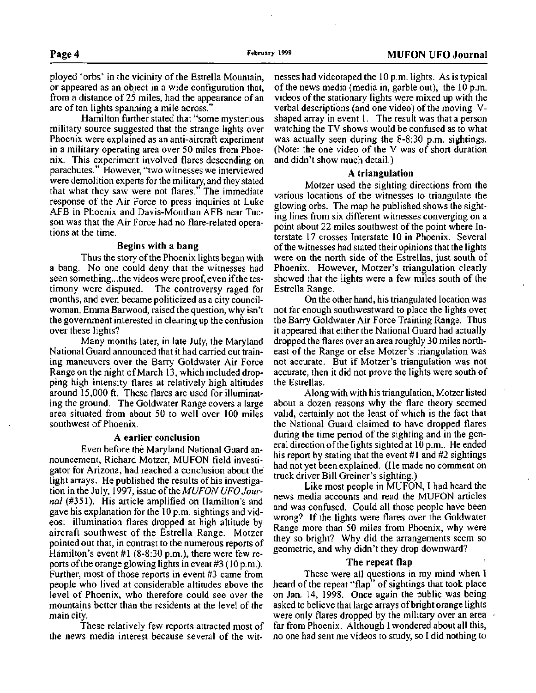ployed 'orbs' in the vicinity of the Estrella Mountain, or appeared as an object in a wide configuration that, from a distance of 25 miles, had the appearance of an arc of ten lights spanning a mile across."

Hamilton further stated that "some mysterious military source suggested that the strange lights over Phoenix were explained as an anti-aircraft experiment in a military operating area over 50 miles from Phoenix. This experiment involved flares descending on parachutes." However, "two witnesses we interviewed were demolition experts for the military, and they stated that what they saw were not flares." The immediate response of the Air Force to press inquiries at Luke AFB in Phoenix and Davis-Monthan AFB near Tucson was that the Air Force had no flare-related operations at the time.

## **Begins with a bang**

Thus the story of the Phoenix lights began with a bang. No one could deny that the witnesses had seen something...the videos were proof, even if the testimony were disputed. The controversy raged for months, and even became politicized as a city councilwoman, Emma Barwood, raised the question, why isn't the government interested in clearing up the confusion over these lights?

Many months later, in late July, the Maryland National Guard announced that it had carried out training maneuvers over the Barry Goldwater Air Force Range on the night of March 13, which included dropping high intensity flares at relatively high altitudes around 15,000 ft. These flares are used for illuminating the ground. The Goldwater Range covers a large area situated from about 50 to well over 100 miles southwest of Phoenix.

## **A earlier conclusion**

Even before the Maryland National Guard announcement, Richard Motzer, MUFON field investigator for Arizona, had reached a conclusion about the light arrays. He published the results of his investigation in the July, 1997, issue *of {he MUFON UFO Journal* (#351). His article amplified on Hamilton's and gave his explanation for the 10 p.m. sightings and videos: illumination flares dropped at high altitude by aircraft southwest of the Estrella Range. Motzer pointed out that, in contrast to the numerous reports of Hamilton's event #1 (8-8:30 p.m.), there were few reports of the orange glowing lights in event #3 (10p.m.). Further, most of those reports in event #3 came from people who lived at considerable altitudes above the level of Phoenix, who therefore could see over the mountains better than the residents at the level of the main city.

These relatively few reports attracted most of the news media interest because several of the witnesses had videotaped the 10 p.m. lights. As is typical of the news media (media in, garble out), the 10 p.m. videos of the stationary lights were mixed up with the verbal descriptions (and one video) of the moving Vshaped array in event 1. The result was that a person watching the TV shows would be confused as to what was actually seen during the 8-8:30 p.m. sightings. (Note: the one video of the V was of short duration and didn't show much detail.)

## **A triangulation**

Motzer used the sighting directions from the various locations of the witnesses to triangulate the glowing orbs. The map he published shows the sighting lines from six different witnesses converging on a point about 22 miles southwest of the point where Interstate 17 crosses Interstate 10 in Phoenix. Several of the witnesses had stated their opinions that the lights were on the north side of the Estrellas, just south of Phoenix. However, Motzer's triangulation clearly showed that the lights were a few miles south of the Estrella Range.

On the other hand, his triangulated location was not far enough southwestward to place the lights over the Barry Goldwater Air Force Training Range. Thus it appeared that either the National Guard had actually dropped the flares over an area roughly 30 miles northeast of the Range or else Motzer's triangulation was not accurate. But if Motzer's triangulation was not accurate, then it did not prove the lights were south of the Estrellas.

Along with with his triangulation, Motzer listed about a dozen reasons why the flare theory seemed valid, certainly not the least of which is the fact that the National Guard claimed to have dropped flares during the time period of the sighting and in the general direction of the lights sighted at 10 p.m.. He ended his report by stating that the event #1 and #2 sightings had not yet been explained. (He made no comment on truck driver Bill Greiner's sighting.)

Like most people in MUFON, I had heard the news media accounts and read the MUFON articles and was confused. Could all those people have been wrong? If the lights were flares over the Goldwater Range more than 50 miles from Phoenix, why were they so bright? Why did the arrangements seem so geometric, and why didn't they drop downward?

## **The repeat flap**

These were all questions in my mind when I heard of the repeat "flap" of sightings that took place on Jan. 14, 1998. Once again the public was being asked to believe that large arrays of bright orange lights were only flares dropped by the military over an area  $\theta$ far from Phoenix. Although I wondered about all this, no one had sent me videos to study, so I did nothing to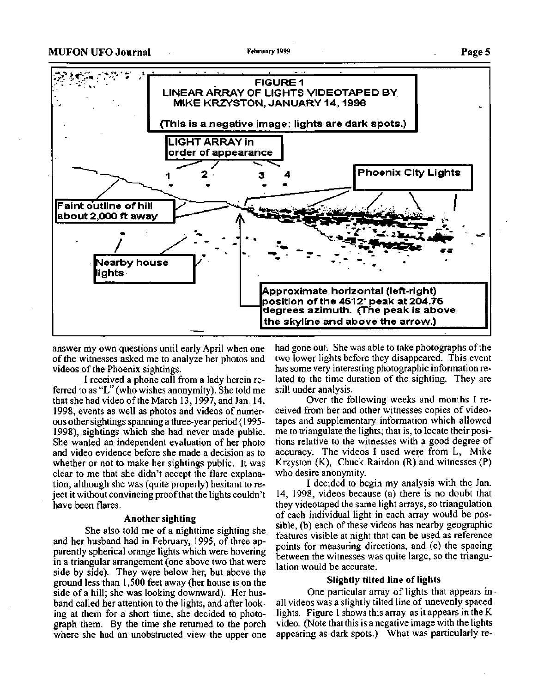## **MUFON UFO Journal February 1999 PageS**



answer my own questions until early April when one of the witnesses asked me to analyze her photos and videos of the Phoenix sightings.

I received a phone call from a lady herein referred to as "L" (who wishes anonymity). She told me that she had video of the March 13, 1997, and Jan. 14, 1998, events as well as photos and videos of numerous other sightings spanning a three-year period (1995- 1998), sightings which she had never made public. She wanted an independent evaluation of her photo and video evidence before she made a decision as to whether or not to make her sightings public. It was clear to me that she didn't accept the flare explanation, although she was (quite properly) hesitant to reject it without convincing proof that the lights couldn't have been flares.

## **Another sighting**

She also told me of a nighttime sighting she. and her husband had in February, 1995, of three apparently spherical orange lights which were hovering in a triangular arrangement (one above two that were side by side). They were below her, but above the ground less than 1,500 feet away (her house is on the side of a hill; she was looking downward). Her husband called her attention to the lights, and after looking at them for a short time, she decided to photograph them. By the time she returned to the porch where she had an unobstructed view the upper one

had gone out. She was able to take photographs of the two lower lights before they disappeared. This event has some very interesting photographic information related to the time duration of the sighting. They are still under analysis.

Over the following weeks and months I received from her and other witnesses copies of videotapes and supplementary information which allowed me to triangulate the lights; that is, to locate their positions relative to the witnesses with a good degree of accuracy. The videos I used were from L, Mike Krzyston (K), Chuck Rairdon (R) and witnesses (P) who desire anonymity.

I decided to begin my analysis with the Jan. 14, 1998, videos because (a) there is no doubt that they videotaped the same light arrays, so triangulation of each individual light in each array would be possible, (b) each of these videos has nearby geographic features visible at night that can be used as reference points for measuring directions, and (c) the spacing between the witnesses was quite large, so the triangulation would be accurate.

#### **Slightly tilted line of lights**

One particular array of lights that appears in all videos was a slightly tilted line of unevenly spaced lights. Figure 1 shows this array as it appears in the K video. (Note that this is a negative image with the lights appearing as dark spots.) What was particularly re-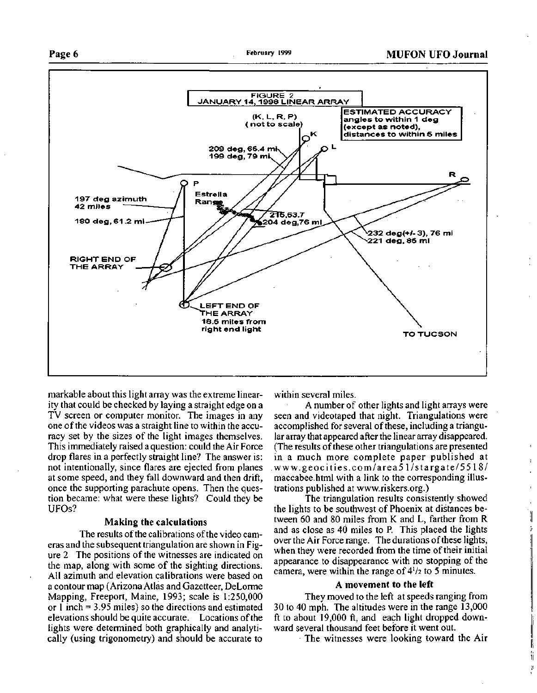## **Page 6 February 1999 MUFON UFO Journal**



markable about this light array was the extreme linearity that could be checked by laying a straight edge on a TV screen or computer monitor. The images in any one of the videos was a straight line to within the accuracy set by the sizes of the light images themselves. This immediately raised a question: could the Air Force drop flares in a perfectly straight line? The answer is: not intentionally, since flares are ejected from planes at some speed, and they fall downward and then drift, once the supporting parachute opens. Then the question became: what were these lights? Could they be UFOs?

#### **Making the calculations**

The results of the calibrations of the video cameras and the subsequent triangulation are shown in Figure 2 The positions of the witnesses are indicated on the map, along with some of the sighting directions. All azimuth and elevation calibrations were based on a contour map (Arizona Atlas and Gazetteer, DeLorme Mapping, Freeport, Maine, 1993; scale is 1:250,000 or 1 inch = 3.95 miles) so the directions and estimated elevations should be quite accurate. Locations of the lights were determined both graphically and analytically (using trigonometry) and should be accurate to

within several miles.

A number of other lights and light arrays were seen and videotaped that night. Triangulations were accomplished for several of these, including a triangular array that appeared after the linear array disappeared. (The results of these other triangulations are presented in a much more complete paper published at www.geocities.com/area51/stargate/5518/ maccabee.html with a link to the corresponding illustrations published at www.riskers.org.)

 $\mathbf{I}$ 

The triangulation results consistently showed the lights to be southwest of Phoenix at distances between 60 and 80 miles from K and L, farther from R and as close as 40 miles to P. This placed the lights over the Air Force range. The durations of these lights, when they were recorded from the time of their initial appearance to disappearance with no stopping of the camera, were within the range of  $4^{1/2}$  to 5 minutes.

## **A movement to the left**

They moved to the left at speeds ranging from 30 to 40 mph. The altitudes were in the range 13,000 ft to about 19,000 ft, and each light dropped downward several thousand feet before it went out.

The witnesses were looking toward the Air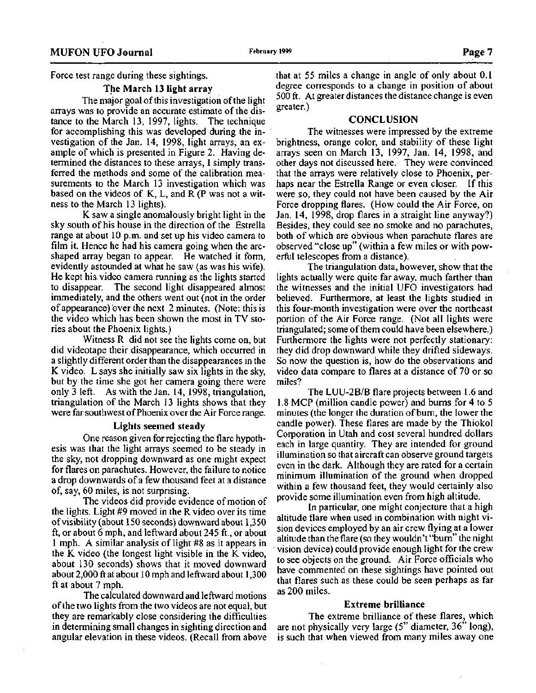Force test range during these sightings.

#### **The March 13 light array**

The major goal of this investigation of the light arrays was to provide an accurate estimate of the distance to the March 13, 1997, lights. The technique for accomplishing this was developed during the investigation of the Jan. 14, 1998, light arrays, an example of which is presented in Figure 2. Having determined the distances to these arrays, 1 simply transferred the methods and some of the calibration measurements to the March 13 investigation which was based on the videos of K, L, and R (P was not a witness to the March 13 lights).

K saw a single anomalously bright light in the sky south of his house in the direction of the Estrella range at about 10 p.m. and set up his video camera to film it. Hence he had his camera going when the arcshaped array began to appear. He watched it form, evidently astounded at what he saw (as was his wife). He kept his video camera running as the lights started to disappear. The second light disappeared almost immediately, and the others went out (not in the order of appearance)'over the next 2 minutes. (Note: this is the video which has been shown the most in TV stories about the Phoenix lights.)

Witness R did not see the lights come on, but did videotape their disappearance, which occurred in a slightly different order than the disappearances in the K video. L says she initially saw six lights in the sky, but by the time she got her camera going there were only 3 left. As with the Jan. 14, 1998, triangulation, triangulation of the March 13 lights shows that they were far southwest of Phoenix over the Air Force range.

### **Lights seemed steady**

One reason given for rejecting the flare hypothesis was that the light arrays seemed to be steady in the sky, not dropping downward as one might expect for flares on parachutes. However, the failure to notice a drop downwards of a few thousand feet at a distance of, say, 60 miles, is not surprising.

The videos did provide evidence of motion of the lights. Light #9 moved in the R video over its time of visibility (about 150 seconds) downward about 1,350 ft, or about 6 mph, and leftward about 245 ft., or about 1 mph. A similar analysis of light #8 as it appears in the K video (the longest light visible in the K video, about 130 seconds) shows that it moved downward about 2,000 ft at about 10 mph and leftward about 1,300 ft at about 7 mph.

The calculated downward and leftward motions of the two lights from the two videos are not equal, but they are remarkably close considering the difficulties in determining small changes in sighting direction and angular elevation in these videos. (Recall from above that at 55 miles a change in angle of only about 0.1 degree corresponds to a change in position of about 500 ft. At greater distances the distance change is even greater.)

## **CONCLUSION**

The witnesses were impressed by the extreme brightness, orange color, and stability of these light arrays seen on March 13, 1997, Jan. 14, 1998, and other days not discussed here. They were convinced that the arrays were relatively close to Phoenix, perhaps near the Estrella Range or even closer. If this were so, they could not have been caused by the Air Force dropping flares. (How could the Air Force, on Jan. 14, 1998, drop flares in a straight line anyway?) Besides, they could see no smoke and no parachutes, both of which are obvious when parachute flares are observed "close up" (within a few miles or with powerful telescopes from a distance).

The triangulation data, however, show that the lights actually were quite far away, much farther than the witnesses and the initial UFO investigators had believed. Furthermore, at least the lights studied in this four-month investigation were over the northeast portion of the Air Force range. (Not all lights were triangulated; some of them could have been elsewhere.) Furthermore the lights were not perfectly stationary: they did drop downward while they drifted sideways. So now the question is, how do the observations and video data compare to flares at a distance of 70 or so miles?

The LUU-2B/B flare projects between 1.6 and 1.8 MCP (million candle power) and burns for 4 to 5 minutes (the longer the duration of burn, the lower the candle power). These flares are made by the Thiokol Corporation in Utah and cost several hundred dollars each in large quantity. They are intended for ground illumination so that aircraft can observe ground targets even in the dark. Although they are rated for a certain minimum illumination of the ground when dropped within a few thousand feet, they would certainly also provide some illumination even from high altitude.

In particular, one might conjecture that a high altitude flare when used in combination with night vision devices employed by an air crew flying at a lower altitude than the flare (so they wouldn't "burn" the night vision device) could provide enough light for the crew to see objects on the ground. Air Force officials who have commented on these sightings have pointed out that flares such as these could be seen perhaps as far as 200 miles.

#### **Extreme brilliance**

The extreme brilliance of these flares, which are not physically very large (5" diameter, 36" long), is such that when viewed from many miles away one